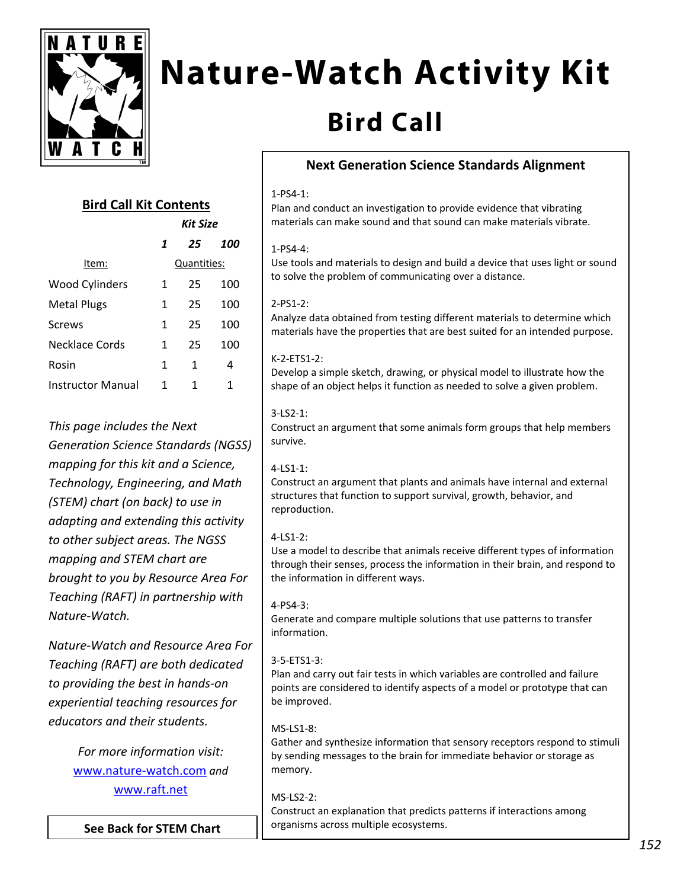

# **Nature-Watch Activity Kit Bird Call**

## **Bird Call Kit Contents**

*Kit Size*

|                          | 1           | 25 | 100 |
|--------------------------|-------------|----|-----|
| Item:                    | Quantities: |    |     |
| <b>Wood Cylinders</b>    | 1           | 25 | 100 |
| <b>Metal Plugs</b>       | 1           | 25 | 100 |
| Screws                   | 1           | 25 | 100 |
| Necklace Cords           | 1           | 25 | 100 |
| Rosin                    | 1           | 1  | 4   |
| <b>Instructor Manual</b> | 1           | 1  | 1   |

*This page includes the Next Generation Science Standards (NGSS) mapping for this kit and a Science, Technology, Engineering, and Math (STEM) chart (on back) to use in adapting and extending this activity to other subject areas. The NGSS mapping and STEM chart are brought to you by Resource Area For Teaching (RAFT) in partnership with Nature‐Watch.* 

*Nature‐Watch and Resource Area For Teaching (RAFT) are both dedicated to providing the best in hands‐on experiential teaching resources for educators and their students.*

> *For more information visit:* www.nature‐watch.com *and* www.raft.net

**See Back for STEM Chart**

### **Next Generation Science Standards Alignment**

#### 1‐PS4‐1:

Plan and conduct an investigation to provide evidence that vibrating materials can make sound and that sound can make materials vibrate.

#### 1‐PS4‐4:

Use tools and materials to design and build a device that uses light or sound to solve the problem of communicating over a distance.

#### 2‐PS1‐2:

Analyze data obtained from testing different materials to determine which materials have the properties that are best suited for an intended purpose.

#### K‐2‐ETS1‐2:

Develop a simple sketch, drawing, or physical model to illustrate how the shape of an object helps it function as needed to solve a given problem.

#### 3‐LS2‐1:

Construct an argument that some animals form groups that help members survive.

#### 4‐LS1‐1:

Construct an argument that plants and animals have internal and external structures that function to support survival, growth, behavior, and reproduction.

#### 4‐LS1‐2:

Use a model to describe that animals receive different types of information through their senses, process the information in their brain, and respond to the information in different ways.

#### 4‐PS4‐3:

Generate and compare multiple solutions that use patterns to transfer information.

#### 3‐5‐ETS1‐3:

Plan and carry out fair tests in which variables are controlled and failure points are considered to identify aspects of a model or prototype that can be improved.

#### MS‐LS1‐8:

Gather and synthesize information that sensory receptors respond to stimuli by sending messages to the brain for immediate behavior or storage as memory.

#### MS‐LS2‐2:

Construct an explanation that predicts patterns if interactions among organisms across multiple ecosystems.